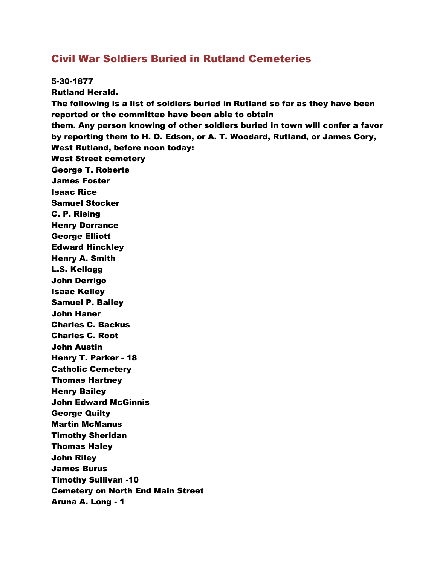## Civil War Soldiers Buried in Rutland Cemeteries

5-30-1877 Rutland Herald. The following is a list of soldiers buried in Rutland so far as they have been reported or the committee have been able to obtain them. Any person knowing of other soldiers buried in town will confer a favor by reporting them to H. O. Edson, or A. T. Woodard, Rutland, or James Cory, West Rutland, before noon today: West Street cemetery George T. Roberts James Foster Isaac Rice Samuel Stocker C. P. Rising Henry Dorrance George Elliott Edward Hinckley Henry A. Smith L.S. Kellogg John Derrigo Isaac Kelley Samuel P. Bailey John Haner Charles C. Backus Charles C. Root John Austin Henry T. Parker - 18 Catholic Cemetery Thomas Hartney Henry Bailey John Edward McGinnis George Quilty Martin McManus Timothy Sheridan Thomas Haley John Riley James Burus Timothy Sullivan -10 Cemetery on North End Main Street Aruna A. Long - 1